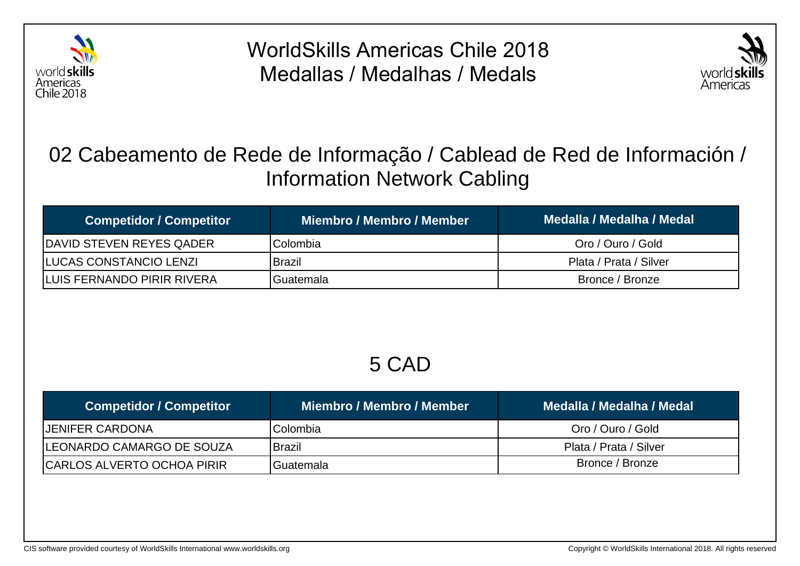

WorldSkills Americas Chile 2018 Medallas / Medalhas / Medals



### 02 Cabeamento de Rede de Informação / Cablead de Red de Información / Information Network Cabling

| <b>Competidor / Competitor</b>     | Miembro / Membro / Member | Medalla / Medalha / Medal |
|------------------------------------|---------------------------|---------------------------|
| <b>IDAVID STEVEN REYES QADER</b>   | IColombia                 | Oro / Ouro / Gold         |
| <b>ILUCAS CONSTANCIO LENZI</b>     | <b>Brazil</b>             | Plata / Prata / Silver    |
| <b>ILUIS FERNANDO PIRIR RIVERA</b> | IGuatemala                | Bronce / Bronze           |

#### 5 CAD

| <b>Competidor / Competitor</b>     | Miembro / Membro / Member | Medalla / Medalha / Medal |
|------------------------------------|---------------------------|---------------------------|
| <b>JENIFER CARDONA</b>             | Colombia                  | Oro / Ouro / Gold         |
| <b>ILEONARDO CAMARGO DE SOUZA</b>  | Brazil                    | Plata / Prata / Silver    |
| <b>ICARLOS ALVERTO OCHOA PIRIR</b> | <b>IGuatemala</b>         | Bronce / Bronze           |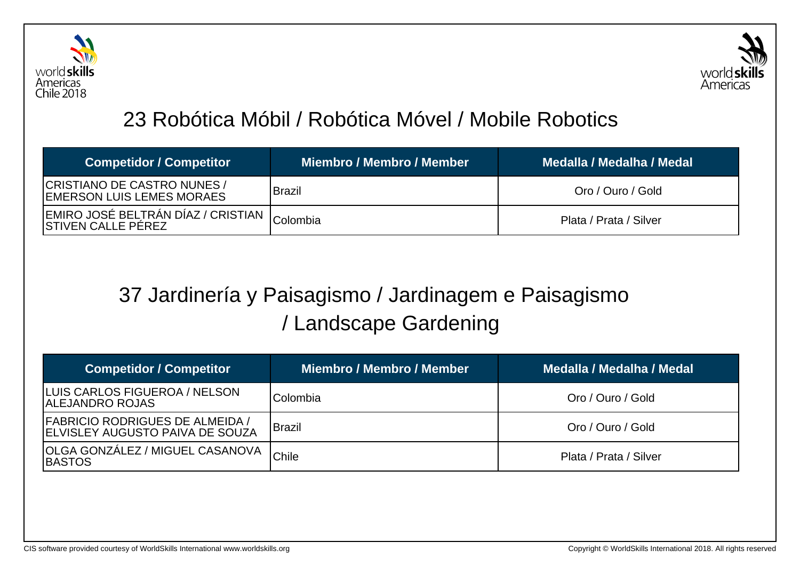



## 23 Robótica Móbil / Robótica Móvel / Mobile Robotics

| <b>Competidor / Competitor</b>                                      | Miembro / Membro / Member | Medalla / Medalha / Medal |
|---------------------------------------------------------------------|---------------------------|---------------------------|
| CRISTIANO DE CASTRO NUNES /<br>IEMERSON LUIS LEMES MORAES           | <b>Brazil</b>             | Oro / Ouro / Gold         |
| IEMIRO JOSÉ BELTRÁN DÍAZ / CRISTIAN Colombia<br>ISTIVEN CALLE PEREZ |                           | Plata / Prata / Silver    |

## 37 Jardinería y Paisagismo / Jardinagem e Paisagismo / Landscape Gardening

| <b>Competidor / Competitor</b>                                                    | <b>Miembro / Membro / Member</b> | Medalla / Medalha / Medal |
|-----------------------------------------------------------------------------------|----------------------------------|---------------------------|
| LUIS CARLOS FIGUEROA / NELSON<br><b>ALEJANDRO ROJAS</b>                           | Colombia                         | Oro / Ouro / Gold         |
| <b>FABRICIO RODRIGUES DE ALMEIDA /</b><br><b>IELVISLEY AUGUSTO PAIVA DE SOUZA</b> | <b>Brazil</b>                    | Oro / Ouro / Gold         |
| OLGA GONZÁLEZ / MIGUEL CASANOVA<br><b>IBASTOS</b>                                 | <b>Chile</b>                     | Plata / Prata / Silver    |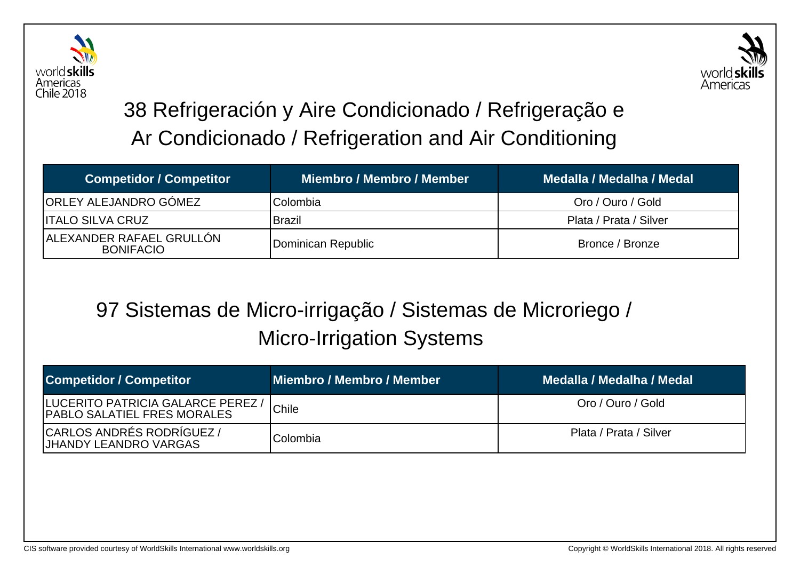



# 38 Refrigeración y Aire Condicionado / Refrigeração e Ar Condicionado / Refrigeration and Air Conditioning

| <b>Competidor / Competitor</b>                | <b>Miembro / Membro / Member</b> | Medalla / Medalha / Medal |
|-----------------------------------------------|----------------------------------|---------------------------|
| <b>ORLEY ALEJANDRO GÓMEZ</b>                  | Colombia                         | Oro / Ouro / Gold         |
| IITALO SILVA CRUZ                             | <b>Brazil</b>                    | Plata / Prata / Silver    |
| LALEXANDER RAFAEL GRULLÓN<br><b>BONIFACIO</b> | Dominican Republic               | Bronce / Bronze           |

### 97 Sistemas de Micro-irrigação / Sistemas de Microriego / Micro-Irrigation Systems

| <b>Competidor / Competitor</b>                                                   | Miembro / Membro / Member | Medalla / Medalha / Medal |
|----------------------------------------------------------------------------------|---------------------------|---------------------------|
| <b>ILUCERITO PATRICIA GALARCE PEREZ /</b><br><b>IPABLO SALATIEL FRES MORALES</b> | Chile                     | Oro / Ouro / Gold         |
| CARLOS ANDRÉS RODRÍGUEZ /<br>IJHANDY LEANDRO VARGAS                              | Colombia                  | Plata / Prata / Silver    |